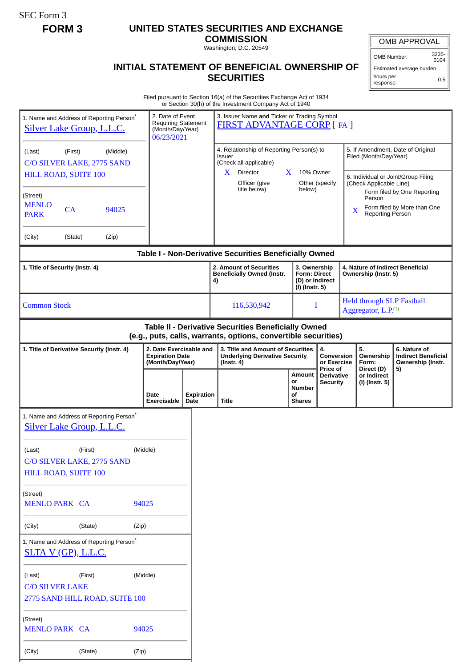SEC Form 3

# **FORM 3 UNITED STATES SECURITIES AND EXCHANGE**

**COMMISSION** Washington, D.C. 20549

OMB APPROVAL

OMB Number: 3235- 0104

Estimated average burden hours per response: 0.5

## **INITIAL STATEMENT OF BENEFICIAL OWNERSHIP OF SECURITIES**

Filed pursuant to Section 16(a) of the Securities Exchange Act of 1934 or Section 30(h) of the Investment Company Act of 1940

| 1. Name and Address of Reporting Person <sup>®</sup><br><b>Silver Lake Group, L.L.C.</b>                              |         |       | 2. Date of Event<br><b>Requiring Statement</b><br>(Month/Day/Year)<br>06/23/2021 |                                                                       |  | 3. Issuer Name and Ticker or Trading Symbol<br><b>FIRST ADVANTAGE CORP</b> [FA ]                                 |                                                                                                |  |                                                                          |                                                                                                    |   |                                                                     |                                                                       |
|-----------------------------------------------------------------------------------------------------------------------|---------|-------|----------------------------------------------------------------------------------|-----------------------------------------------------------------------|--|------------------------------------------------------------------------------------------------------------------|------------------------------------------------------------------------------------------------|--|--------------------------------------------------------------------------|----------------------------------------------------------------------------------------------------|---|---------------------------------------------------------------------|-----------------------------------------------------------------------|
| (Middle)<br>(First)<br>(Last)<br>C/O SILVER LAKE, 2775 SAND<br>HILL ROAD, SUITE 100                                   |         |       |                                                                                  |                                                                       |  | 4. Relationship of Reporting Person(s) to<br>Issuer<br>(Check all applicable)<br>Director<br>X<br>10% Owner<br>X |                                                                                                |  |                                                                          | 5. If Amendment, Date of Original<br>Filed (Month/Day/Year)<br>6. Individual or Joint/Group Filing |   |                                                                     |                                                                       |
| (Street)<br><b>MENLO</b><br>CA<br><b>PARK</b>                                                                         |         | 94025 |                                                                                  |                                                                       |  |                                                                                                                  | Officer (give<br>title below)                                                                  |  | below)                                                                   | Other (specify                                                                                     | X | (Check Applicable Line)<br>Person<br><b>Reporting Person</b>        | Form filed by One Reporting<br>Form filed by More than One            |
| (City)<br>(State)                                                                                                     |         | (Zip) |                                                                                  |                                                                       |  |                                                                                                                  |                                                                                                |  |                                                                          |                                                                                                    |   |                                                                     |                                                                       |
|                                                                                                                       |         |       |                                                                                  |                                                                       |  |                                                                                                                  | Table I - Non-Derivative Securities Beneficially Owned                                         |  |                                                                          |                                                                                                    |   |                                                                     |                                                                       |
| 1. Title of Security (Instr. 4)                                                                                       |         |       |                                                                                  |                                                                       |  |                                                                                                                  | 2. Amount of Securities<br><b>Beneficially Owned (Instr.</b><br>4)                             |  | 3. Ownership<br><b>Form: Direct</b><br>(D) or Indirect<br>(I) (Instr. 5) |                                                                                                    |   | 4. Nature of Indirect Beneficial<br>Ownership (Instr. 5)            |                                                                       |
| <b>Common Stock</b>                                                                                                   |         |       |                                                                                  |                                                                       |  |                                                                                                                  | 116,530,942                                                                                    |  | I                                                                        |                                                                                                    |   | <b>Held through SLP Fastball</b><br>Aggregator, L.P. <sup>(1)</sup> |                                                                       |
| Table II - Derivative Securities Beneficially Owned<br>(e.g., puts, calls, warrants, options, convertible securities) |         |       |                                                                                  |                                                                       |  |                                                                                                                  |                                                                                                |  |                                                                          |                                                                                                    |   |                                                                     |                                                                       |
| 1. Title of Derivative Security (Instr. 4)                                                                            |         |       |                                                                                  | 2. Date Exercisable and<br><b>Expiration Date</b><br>(Month/Day/Year) |  |                                                                                                                  | 3. Title and Amount of Securities<br><b>Underlying Derivative Security</b><br>$($ lnstr. 4 $)$ |  | 4.<br>Conversion<br>or Exercise<br>Price of                              |                                                                                                    |   | 5.<br>Ownership<br>Form:<br>Direct (D)                              | 6. Nature of<br><b>Indirect Beneficial</b><br>Ownership (Instr.<br>5) |
|                                                                                                                       |         |       |                                                                                  |                                                                       |  |                                                                                                                  |                                                                                                |  | Amount                                                                   | <b>Derivative</b>                                                                                  |   | or Indirect                                                         |                                                                       |
|                                                                                                                       |         |       |                                                                                  |                                                                       |  |                                                                                                                  |                                                                                                |  | or<br>Number                                                             | <b>Security</b>                                                                                    |   | (I) (Instr. 5)                                                      |                                                                       |
|                                                                                                                       |         |       |                                                                                  | Date<br>Exercisable                                                   |  | <b>Expiration</b><br>Date                                                                                        | Title                                                                                          |  | οf<br><b>Shares</b>                                                      |                                                                                                    |   |                                                                     |                                                                       |
| 1. Name and Address of Reporting Person <sup>*</sup><br>Silver Lake Group, L.L.C.                                     |         |       |                                                                                  |                                                                       |  |                                                                                                                  |                                                                                                |  |                                                                          |                                                                                                    |   |                                                                     |                                                                       |
| (Last)<br>C/O SILVER LAKE, 2775 SAND<br>HILL ROAD, SUITE 100                                                          | (First) |       | (Middle)                                                                         |                                                                       |  |                                                                                                                  |                                                                                                |  |                                                                          |                                                                                                    |   |                                                                     |                                                                       |
|                                                                                                                       |         |       |                                                                                  |                                                                       |  |                                                                                                                  |                                                                                                |  |                                                                          |                                                                                                    |   |                                                                     |                                                                       |
| (Street)<br><b>MENLO PARK CA</b>                                                                                      |         |       | 94025                                                                            |                                                                       |  |                                                                                                                  |                                                                                                |  |                                                                          |                                                                                                    |   |                                                                     |                                                                       |
| (City)                                                                                                                | (State) |       | (Zip)                                                                            |                                                                       |  |                                                                                                                  |                                                                                                |  |                                                                          |                                                                                                    |   |                                                                     |                                                                       |
| 1. Name and Address of Reporting Person*<br><u>SLTA V (GP), L.L.C.</u>                                                |         |       |                                                                                  |                                                                       |  |                                                                                                                  |                                                                                                |  |                                                                          |                                                                                                    |   |                                                                     |                                                                       |
| (Last)<br><b>C/O SILVER LAKE</b>                                                                                      | (First) |       | (Middle)                                                                         |                                                                       |  |                                                                                                                  |                                                                                                |  |                                                                          |                                                                                                    |   |                                                                     |                                                                       |
| 2775 SAND HILL ROAD, SUITE 100                                                                                        |         |       |                                                                                  |                                                                       |  |                                                                                                                  |                                                                                                |  |                                                                          |                                                                                                    |   |                                                                     |                                                                       |
| (Street)<br><b>MENLO PARK CA</b>                                                                                      |         |       | 94025                                                                            |                                                                       |  |                                                                                                                  |                                                                                                |  |                                                                          |                                                                                                    |   |                                                                     |                                                                       |
| (City)                                                                                                                | (State) |       | (Zip)                                                                            |                                                                       |  |                                                                                                                  |                                                                                                |  |                                                                          |                                                                                                    |   |                                                                     |                                                                       |
|                                                                                                                       |         |       |                                                                                  |                                                                       |  |                                                                                                                  |                                                                                                |  |                                                                          |                                                                                                    |   |                                                                     |                                                                       |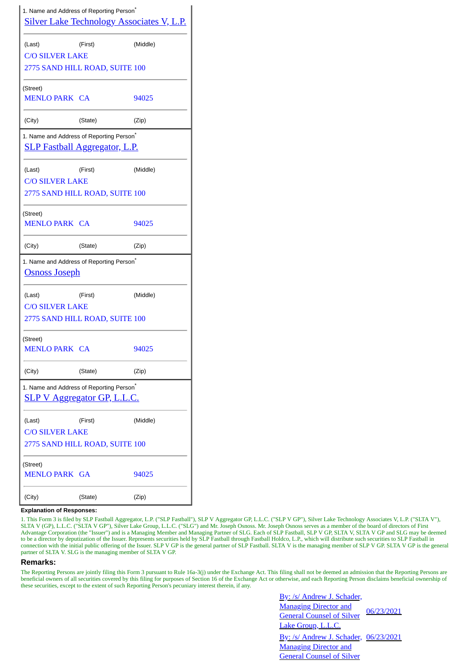|                                  | 1. Name and Address of Reporting Person <sup>®</sup>                                         | <b>Silver Lake Technology Associates V, L.P.</b> |
|----------------------------------|----------------------------------------------------------------------------------------------|--------------------------------------------------|
| (Last)                           | (First)                                                                                      | (Middle)                                         |
| <b>C/O SILVER LAKE</b>           |                                                                                              |                                                  |
|                                  | 2775 SAND HILL ROAD, SUITE 100                                                               |                                                  |
| (Street)<br>MENLO PARK CA        |                                                                                              | 94025                                            |
| (City)                           | (State)                                                                                      | (Zip)                                            |
|                                  | 1. Name and Address of Reporting Person <sup>®</sup><br><b>SLP Fastball Aggregator, L.P.</b> |                                                  |
| (Last)<br><b>C/O SILVER LAKE</b> | (First)                                                                                      | (Middle)                                         |
|                                  | 2775 SAND HILL ROAD, SUITE 100                                                               |                                                  |
| (Street)<br>MENLO PARK CA        |                                                                                              | 94025                                            |
| (City)                           | (State)                                                                                      | (Zip)                                            |
| <u>Osnoss Joseph</u>             | 1. Name and Address of Reporting Person <sup>*</sup>                                         |                                                  |
| (Last)                           | (First)                                                                                      | (Middle)                                         |
| <b>C/O SILVER LAKE</b>           | 2775 SAND HILL ROAD, SUITE 100                                                               |                                                  |
| (Street)<br><b>MENLO PARK CA</b> |                                                                                              | 94025                                            |
|                                  |                                                                                              |                                                  |
| (City)                           | (State)                                                                                      | (Zip)                                            |
|                                  | 1. Name and Address of Reporting Person <sup>*</sup><br><b>SLP V Aggregator GP, L.L.C.</b>   |                                                  |
| (Last)                           | (First)                                                                                      | (Middle)                                         |
| <b>C/O SILVER LAKE</b>           | 2775 SAND HILL ROAD, SUITE 100                                                               |                                                  |
| (Street)<br><b>MENLO PARK GA</b> |                                                                                              | 94025                                            |

### **Explanation of Responses:**

1. This Form 3 is filed by SLP Fastball Aggregator, L.P. ("SLP Fastball"), SLP V Aggregator GP, L.L.C. ("SLP V GP"), Silver Lake Technology Associates V, L.P. ("SLTA V"), SLTA V (GP), L.L.C. ("SLTA V GP"), Silver Lake Group, L.L.C. ("SLG") and Mr. Joseph Osnoss. Mr. Joseph Osnoss serves as a member of the board of directors of First Advantage Corporation (the "Issuer") and is a Managing Member and Managing Partner of SLG. Each of SLP Fastball, SLP V GP, SLTA V, SLTA V GP and SLG may be deemed to be a director by deputization of the Issuer. Represents securities held by SLP Fastball through Fastball Holdco, L.P., which will distribute such securities to SLP Fastball in connection with the initial public offering of the Issuer. SLP V GP is the general partner of SLP Fastball. SLTA V is the managing member of SLP V GP. SLTA V GP is the general partner of SLTA V. SLG is the managing member of SLTA V GP.

## **Remarks:**

The Reporting Persons are jointly filing this Form 3 pursuant to Rule 16a-3(j) under the Exchange Act. This filing shall not be deemed an admission that the Reporting Persons are beneficial owners of all securities covered by this filing for purposes of Section 16 of the Exchange Act or otherwise, and each Reporting Person disclaims beneficial ownership of these securities, except to the extent of such Reporting Person's pecuniary interest therein, if any.

| By: /s/ Andrew J. Schader,                   |            |
|----------------------------------------------|------------|
| <b>Managing Director and</b>                 | 06/23/2021 |
| <b>General Counsel of Silver</b>             |            |
| Lake Group, L.L.C.                           |            |
| <u>By: /s/ Andrew J. Schader, 06/23/2021</u> |            |
| <b>Managing Director and</b>                 |            |
| <b>General Counsel of Silver</b>             |            |